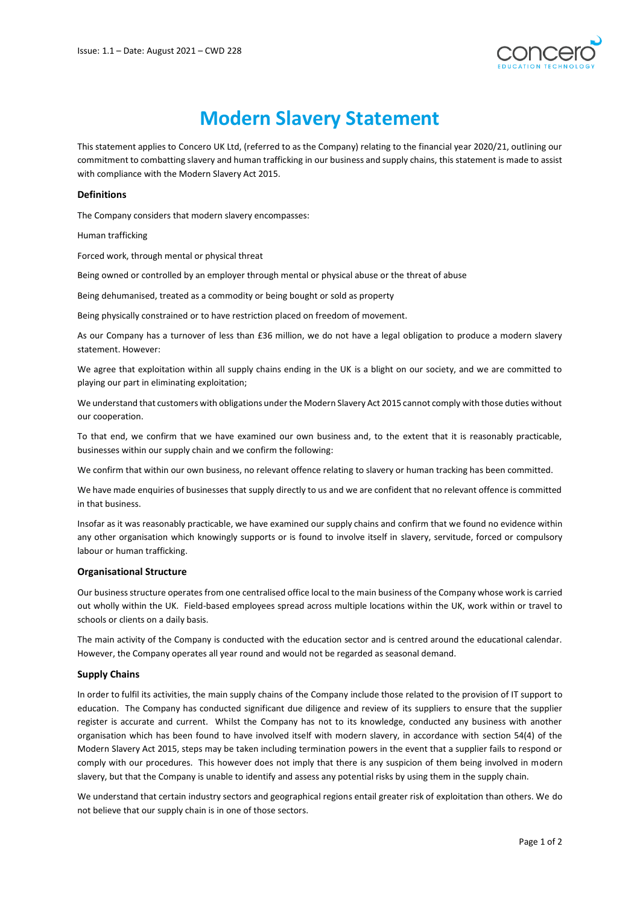

# **Modern Slavery Statement**

This statement applies to Concero UK Ltd, (referred to as the Company) relating to the financial year 2020/21, outlining our commitment to combatting slavery and human trafficking in our business and supply chains, this statement is made to assist with compliance with the Modern Slavery Act 2015.

# **Definitions**

The Company considers that modern slavery encompasses:

Human trafficking

Forced work, through mental or physical threat

Being owned or controlled by an employer through mental or physical abuse or the threat of abuse

Being dehumanised, treated as a commodity or being bought or sold as property

Being physically constrained or to have restriction placed on freedom of movement.

As our Company has a turnover of less than £36 million, we do not have a legal obligation to produce a modern slavery statement. However:

We agree that exploitation within all supply chains ending in the UK is a blight on our society, and we are committed to playing our part in eliminating exploitation;

We understand that customers with obligations under the Modern Slavery Act 2015 cannot comply with those duties without our cooperation.

To that end, we confirm that we have examined our own business and, to the extent that it is reasonably practicable, businesses within our supply chain and we confirm the following:

We confirm that within our own business, no relevant offence relating to slavery or human tracking has been committed.

We have made enquiries of businesses that supply directly to us and we are confident that no relevant offence is committed in that business.

Insofar as it was reasonably practicable, we have examined our supply chains and confirm that we found no evidence within any other organisation which knowingly supports or is found to involve itself in slavery, servitude, forced or compulsory labour or human trafficking.

#### **Organisational Structure**

Our business structure operates from one centralised office local to the main business of the Company whose work is carried out wholly within the UK. Field-based employees spread across multiple locations within the UK, work within or travel to schools or clients on a daily basis.

The main activity of the Company is conducted with the education sector and is centred around the educational calendar. However, the Company operates all year round and would not be regarded as seasonal demand.

#### **Supply Chains**

In order to fulfil its activities, the main supply chains of the Company include those related to the provision of IT support to education. The Company has conducted significant due diligence and review of its suppliers to ensure that the supplier register is accurate and current. Whilst the Company has not to its knowledge, conducted any business with another organisation which has been found to have involved itself with modern slavery, in accordance with section 54(4) of the Modern Slavery Act 2015, steps may be taken including termination powers in the event that a supplier fails to respond or comply with our procedures. This however does not imply that there is any suspicion of them being involved in modern slavery, but that the Company is unable to identify and assess any potential risks by using them in the supply chain.

We understand that certain industry sectors and geographical regions entail greater risk of exploitation than others. We do not believe that our supply chain is in one of those sectors.